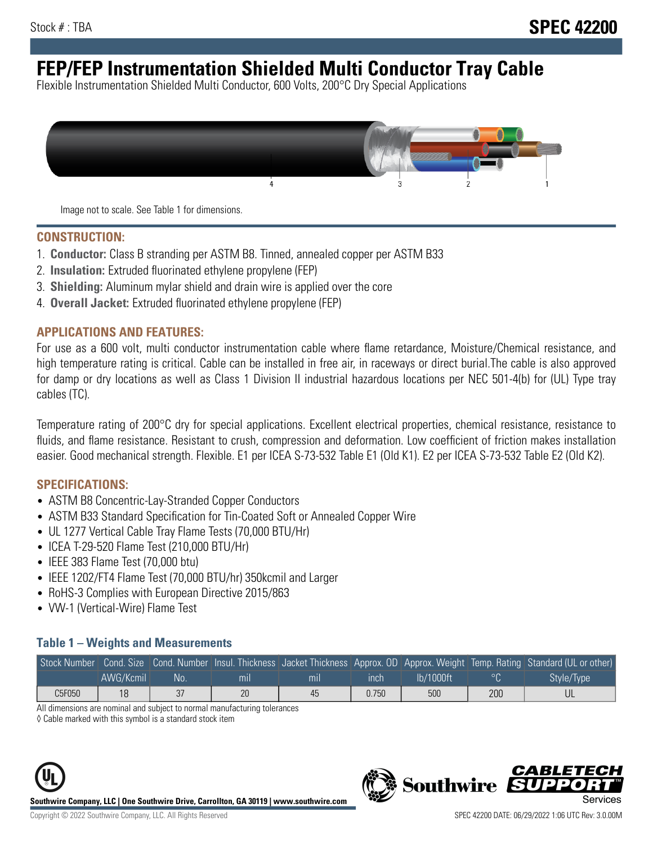# **FEP/FEP Instrumentation Shielded Multi Conductor Tray Cable**

Flexible Instrumentation Shielded Multi Conductor, 600 Volts, 200°C Dry Special Applications



Image not to scale. See Table 1 for dimensions.

#### **CONSTRUCTION:**

- 1. **Conductor:** Class B stranding per ASTM B8. Tinned, annealed copper per ASTM B33
- 2. **Insulation:** Extruded fluorinated ethylene propylene (FEP)
- 3. **Shielding:** Aluminum mylar shield and drain wire is applied over the core
- 4. **Overall Jacket:** Extruded fluorinated ethylene propylene (FEP)

#### **APPLICATIONS AND FEATURES:**

For use as a 600 volt, multi conductor instrumentation cable where flame retardance, Moisture/Chemical resistance, and high temperature rating is critical. Cable can be installed in free air, in raceways or direct burial.The cable is also approved for damp or dry locations as well as Class 1 Division II industrial hazardous locations per NEC 501-4(b) for (UL) Type tray cables (TC).

Temperature rating of 200°C dry for special applications. Excellent electrical properties, chemical resistance, resistance to fluids, and flame resistance. Resistant to crush, compression and deformation. Low coefficient of friction makes installation easier. Good mechanical strength. Flexible. E1 per ICEA S-73-532 Table E1 (Old K1). E2 per ICEA S-73-532 Table E2 (Old K2).

#### **SPECIFICATIONS:**

- ASTM B8 Concentric-Lay-Stranded Copper Conductors
- ASTM B33 Standard Specification for Tin-Coated Soft or Annealed Copper Wire
- UL 1277 Vertical Cable Tray Flame Tests (70,000 BTU/Hr)
- ICEA T-29-520 Flame Test (210,000 BTU/Hr)
- IEEE 383 Flame Test (70,000 btu)
- IEEE 1202/FT4 Flame Test (70,000 BTU/hr) 350kcmil and Larger
- RoHS-3 Complies with European Directive 2015/863
- VW-1 (Vertical-Wire) Flame Test

#### **Table 1 – Weights and Measurements**

|        |           |    |                |     |             |           |     | Stock Number Cond. Size Cond. Number Insul. Thickness Jacket Thickness Approx. OD Approx. Weight Temp. Rating Standard (UL or other) |
|--------|-----------|----|----------------|-----|-------------|-----------|-----|--------------------------------------------------------------------------------------------------------------------------------------|
|        | AWG/Kcmil | No | m <sub>l</sub> | mil | <b>inch</b> | Ib/1000ft |     | Style/Type                                                                                                                           |
| C5F050 | 18        | 37 | 20             | 45  | 0.750       | 500       | 200 |                                                                                                                                      |

All dimensions are nominal and subject to normal manufacturing tolerances

◊ Cable marked with this symbol is a standard stock item



**Southwire** 

CARLET